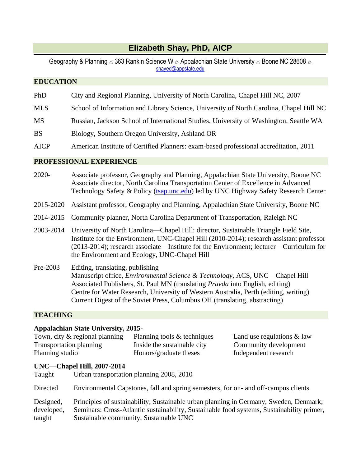# **Elizabeth Shay, PhD, AICP**

Geography & Planning  $\approx 363$  Rankin Science W  $\approx$  Appalachian State University  $\approx$  Boone NC 28608  $\approx$ [shayed@appstate.edu](mailto:shayed@appstate.edu)

## **EDUCATION**

- PhD City and Regional Planning, University of North Carolina, Chapel Hill NC, 2007
- MLS School of Information and Library Science, University of North Carolina, Chapel Hill NC
- MS Russian, Jackson School of International Studies, University of Washington, Seattle WA
- BS Biology, Southern Oregon University, Ashland OR
- AICP American Institute of Certified Planners: exam-based professional accreditation, 2011

## **PROFESSIONAL EXPERIENCE**

- 2020- Associate professor, Geography and Planning, Appalachian State University, Boone NC Associate director, North Carolina Transportation Center of Excellence in Advanced Technology Safety & Policy [\(tsap.unc.edu\)](http://tsap.unc.edu/) led by UNC Highway Safety Research Center
- 2015-2020 Assistant professor, Geography and Planning, Appalachian State University, Boone NC
- 2014-2015 Community planner, North Carolina Department of Transportation, Raleigh NC
- 2003-2014 University of North Carolina—Chapel Hill: director, Sustainable Triangle Field Site, Institute for the Environment, UNC-Chapel Hill (2010-2014); research assistant professor (2013-2014); research associate—Institute for the Environment; lecturer—Curriculum for the Environment and Ecology, UNC-Chapel Hill
- Pre-2003 Editing, translating, publishing Manuscript office, *Environmental Science & Technology,* ACS, UNC—Chapel Hill Associated Publishers, St. Paul MN (translating *Pravda* into English, editing) Centre for Water Research, University of Western Australia, Perth (editing, writing) Current Digest of the Soviet Press, Columbus OH (translating, abstracting)

## **TEACHING**

#### **Appalachian State University, 2015-**

| Town, city & regional planning | Planning tools & techniques | Land use regulations $\&$ law |
|--------------------------------|-----------------------------|-------------------------------|
| Transportation planning        | Inside the sustainable city | Community development         |
| Planning studio                | Honors/graduate theses      | Independent research          |

#### **UNC—Chapel Hill, 2007-2014**

| Taught                            | Urban transportation planning 2008, 2010                                                                                                                                                                                     |
|-----------------------------------|------------------------------------------------------------------------------------------------------------------------------------------------------------------------------------------------------------------------------|
| Directed                          | Environmental Capstones, fall and spring semesters, for on- and off-campus clients                                                                                                                                           |
| Designed,<br>developed,<br>taught | Principles of sustainability; Sustainable urban planning in Germany, Sweden, Denmark;<br>Seminars: Cross-Atlantic sustainability, Sustainable food systems, Sustainability primer,<br>Sustainable community, Sustainable UNC |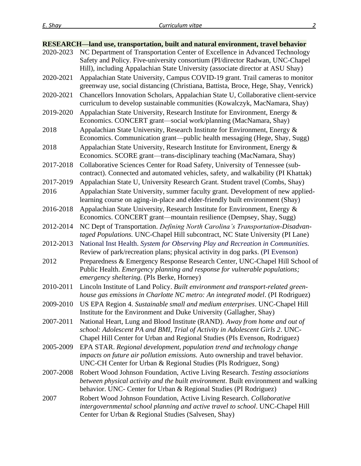|           | <b>RESEARCH-land use, transportation, built and natural environment, travel behavior</b>                                                           |
|-----------|----------------------------------------------------------------------------------------------------------------------------------------------------|
| 2020-2023 | NC Department of Transportation Center of Excellence in Advanced Technology                                                                        |
|           | Safety and Policy. Five-university consortium (PI/director Radwan, UNC-Chapel                                                                      |
|           | Hill), including Appalachian State University (associate director at ASU Shay)                                                                     |
| 2020-2021 | Appalachian State University, Campus COVID-19 grant. Trail cameras to monitor                                                                      |
|           | greenway use, social distancing (Christiana, Battista, Broce, Hege, Shay, Venrick)                                                                 |
| 2020-2021 | Chancellors Innovation Scholars, Appalachian State U, Collaborative client-service                                                                 |
|           | curriculum to develop sustainable communities (Kowalczyk, MacNamara, Shay)                                                                         |
| 2019-2020 | Appalachian State University, Research Institute for Environment, Energy &                                                                         |
|           | Economics. CONCERT grant-social work/planning (MacNamara, Shay)                                                                                    |
| 2018      | Appalachian State University, Research Institute for Environment, Energy &                                                                         |
|           | Economics. Communication grant-public health messaging (Hege, Shay, Sugg)                                                                          |
| 2018      | Appalachian State University, Research Institute for Environment, Energy &                                                                         |
|           | Economics. SCORE grant—trans-disciplinary teaching (MacNamara, Shay)                                                                               |
| 2017-2018 | Collaborative Sciences Center for Road Safety, University of Tennessee (sub-                                                                       |
|           | contract). Connected and automated vehicles, safety, and walkability (PI Khattak)                                                                  |
| 2017-2019 | Appalachian State U, University Research Grant. Student travel (Combs, Shay)                                                                       |
| 2016      | Appalachian State University, summer faculty grant. Development of new applied-                                                                    |
|           | learning course on aging-in-place and elder-friendly built environment (Shay)                                                                      |
| 2016-2018 | Appalachian State University, Research Institute for Environment, Energy &                                                                         |
|           | Economics. CONCERT grant—mountain resilience (Dempsey, Shay, Sugg)                                                                                 |
| 2012-2014 | NC Dept of Transportation. Defining North Carolina's Transportation-Disadvan-                                                                      |
|           | taged Populations. UNC-Chapel Hill subcontract, NC State University (PI Lane)                                                                      |
| 2012-2013 | National Inst Health. System for Observing Play and Recreation in Communities.                                                                     |
|           | Review of park/recreation plans; physical activity in dog parks. (PI Evenson)                                                                      |
| 2012      | Preparedness & Emergency Response Research Center, UNC-Chapel Hill School of                                                                       |
|           | Public Health. Emergency planning and response for vulnerable populations;                                                                         |
|           | emergency sheltering. (PIs Berke, Horney)                                                                                                          |
| 2010-2011 | Lincoln Institute of Land Policy. Built environment and transport-related green-                                                                   |
|           | house gas emissions in Charlotte NC metro: An integrated model. (PI Rodriguez)                                                                     |
|           | 2009-2010 US EPA Region 4. Sustainable small and medium enterprises. UNC-Chapel Hill                                                               |
|           | Institute for the Environment and Duke University (Gallagher, Shay)                                                                                |
| 2007-2011 | National Heart, Lung and Blood Institute (RAND). Away from home and out of                                                                         |
|           | school: Adolescent PA and BMI, Trial of Activity in Adolescent Girls 2. UNC-                                                                       |
|           | Chapel Hill Center for Urban and Regional Studies (PIs Evenson, Rodriguez)                                                                         |
| 2005-2009 | EPA STAR. Regional development, population trend and technology change                                                                             |
|           | impacts on future air pollution emissions. Auto ownership and travel behavior.<br>UNC-CH Center for Urban & Regional Studies (PIs Rodriguez, Song) |
| 2007-2008 | Robert Wood Johnson Foundation, Active Living Research. Testing associations                                                                       |
|           | between physical activity and the built environment. Built environment and walking                                                                 |
|           | behavior. UNC- Center for Urban & Regional Studies (PI Rodriguez)                                                                                  |
| 2007      | Robert Wood Johnson Foundation, Active Living Research. Collaborative                                                                              |
|           | intergovernmental school planning and active travel to school. UNC-Chapel Hill                                                                     |
|           | Center for Urban & Regional Studies (Salvesen, Shay)                                                                                               |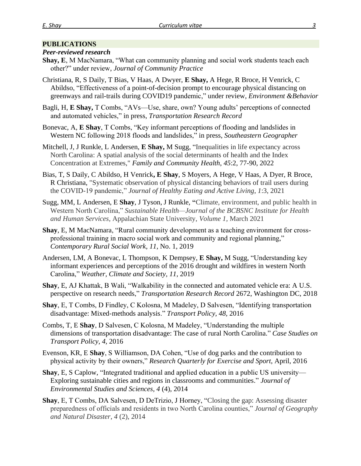#### **PUBLICATIONS**

#### *Peer-reviewed research*

- **Shay, E**, M MacNamara, "What can community planning and social work students teach each other?" under review, *Journal of Community Practice*
- Christiana, R, S Daily, T Bias, V Haas, A Dwyer, **E Shay,** A Hege, R Broce, H Venrick, C Abildso, "Effectiveness of a point-of-decision prompt to encourage physical distancing on greenways and rail-trails during COVID19 pandemic," under review, *Environment &Behavior*
- Bagli, H, **E Shay,** T Combs, "AVs—Use, share, own? Young adults' perceptions of connected and automated vehicles," in press, *Transportation Research Record*
- Bonevac, A, **E Shay**, T Combs, "Key informant perceptions of flooding and landslides in Western NC following 2018 floods and landslides," in press, *Southeastern Geographer*
- Mitchell, J, J Runkle, L Andersen, **E Shay,** M Sugg, "Inequalities in life expectancy across North Carolina: A spatial analysis of the social determinants of health and the Index Concentration at Extremes," *Family and Community Health*, *45*:2, 77-90, 2022
- Bias, T, S Daily, C Abildso, H Venrick**, E Shay**, S Moyers, A Hege, V Haas, A Dyer, R Broce, R Christiana, "Systematic observation of physical distancing behaviors of trail users during the COVID-19 pandemic," *Journal of Healthy Eating and Active Living*, *1*:3, 2021
- Sugg, MM, L Andersen, E **Shay**, J Tyson, J Runkle, **"**Climate, environment, and public health in Western North Carolina," *Sustainable Health—Journal of the BCBSNC Institute for Health and Human Services,* Appalachian State University, *Volume 1,* March 2021
- **Shay**, E, M MacNamara, "Rural community development as a teaching environment for crossprofessional training in macro social work and community and regional planning," *Contemporary Rural Social Work, 11,* No. 1, 2019
- Andersen, LM, A Bonevac, L Thompson, K Dempsey, **E Shay,** M Sugg, "Understanding key informant experiences and perceptions of the 2016 drought and wildfires in western North Carolina," *Weather, Climate and Society, 11,* 2019
- **Shay**, E, AJ Khattak, B Wali, "Walkability in the connected and automated vehicle era: A U.S. perspective on research needs," *Transportation Research Record* 2672, Washington DC, 2018
- **Shay**, E, T Combs, D Findley, C Kolosna, M Madeley, D Salvesen, "Identifying transportation disadvantage: Mixed-methods analysis." *Transport Policy, 48,* 2016
- Combs, T, E **Shay**, D Salvesen, C Kolosna, M Madeley, "Understanding the multiple dimensions of transportation disadvantage: The case of rural North Carolina." *Case Studies on Transport Policy, 4,* 2016
- Evenson, KR, E **Shay**, S Williamson, DA Cohen, "Use of dog parks and the contribution to physical activity by their owners," *Research Quarterly for Exercise and Sport*, April, 2016
- **Shay**, E, S Caplow, "Integrated traditional and applied education in a public US university— Exploring sustainable cities and regions in classrooms and communities." *Journal of Environmental Studies and Sciences, 4* (4), 2014
- **Shay**, E, T Combs, DA Salvesen, D DeTrizio, J Horney, "Closing the gap: Assessing disaster preparedness of officials and residents in two North Carolina counties," *Journal of Geography and Natural Disaster*, *4* (2), 2014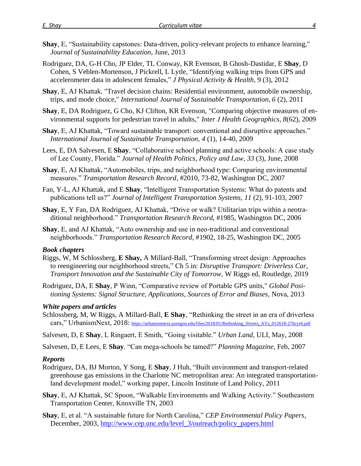- Rodriguez, DA, G-H Cho, JP Elder, TL Conway, KR Evenson, B Ghosh-Dastidar, E **Shay**, D Cohen, S Veblen-Mortenson, J Pickrell, L Lytle, "Identifying walking trips from GPS and accelerometer data in adolescent females," *J Physical Activity & Health*, 9 (3), 2012
- **Shay**, E, AJ Khattak. "Travel decision chains: Residential environment, automobile ownership, trips, and mode choice," *International Journal of Sustainable Transportation, 6* (2), 2011
- **Shay**, E, DA Rodriguez, G Cho, KJ Clifton, KR Evenson, "Comparing objective measures of environmental supports for pedestrian travel in adults," *Inter J Health Geographics, 8*(62), 2009
- **Shay**, E, AJ Khattak, "Toward sustainable transport: conventional and disruptive approaches." *International Journal of Sustainable Transportation, 4* (1), 14-40, 2009
- Lees, E, DA Salvesen, E **Shay**, "Collaborative school planning and active schools: A case study of Lee County, Florida." *Journal of Health Politics, Policy and Law*, *33* (3), June, 2008
- **Shay**, E, AJ Khattak, "Automobiles, trips, and neighborhood type: Comparing environmental measures." *Transportation Research Record*, #2010, 73-82, Washington DC, 2007
- Fan, Y-L, AJ Khattak, and E **Shay**, "Intelligent Transportation Systems: What do patents and publications tell us?" *Journal of Intelligent Transportation Systems, 11* (2), 91-103, 2007
- **Shay**, E, Y Fan, DA Rodriguez, AJ Khattak, "Drive or walk? Utilitarian trips within a neotraditional neighborhood." *Transportation Research Record,* #1985, Washington DC, 2006
- **Shay**, E, and AJ Khattak, "Auto ownership and use in neo-traditional and conventional neighborhoods." *Transportation Research Record*, #1902, 18-25, Washington DC, 2005

#### *Book chapters*

- Riggs, W, M Schlossberg, **E Shay,** A Millard-Ball, "Transforming street design: Approaches to reengineering our neighborhood streets," Ch 5 in: *Disruptive Transport: Driverless Car, Transport Innovation and the Sustainable City of Tomorrow,* W Riggs ed, Routledge, 2019
- Rodriguez, DA, E **Shay**, P Winn, "Comparative review of Portable GPS units," *Global Positioning Systems: Signal Structure, Applications, Sources of Error and Biases,* Nova, 2013

#### *White papers and articles*

- Schlossberg, M, W Riggs, A Millard-Ball, **E Shay**, "Rethinking the street in an era of driverless cars," UrbanismNext, 2018: https://urbanismnext.uoregon.edu/files/2018/01/Rethinking Streets AVs 012618-27hcyr6.pdf
- Salvesen, D, E **Shay**, L Ringaert, E Smith, "Going visitable." *Urban Land*, ULI, May, 2008
- Salvesen, D, E Lees, E **Shay**. "Can mega-schools be tamed?" *Planning Magazine*, Feb, 2007

#### *Reports*

- Rodriguez, DA, BJ Morton, Y Song, E **Shay**, J Huh, "Built environment and transport-related greenhouse gas emissions in the Charlotte NC metropolitan area: An integrated transportationland development model," working paper, Lincoln Institute of Land Policy, 2011
- **Shay**, E, AJ Khattak, SC Spoon, "Walkable Environments and Walking Activity." Southeastern Transportation Center, Knoxville TN, 2003
- **Shay**, E, et al. "A sustainable future for North Carolina," *CEP Environmental Policy Papers*, December, 2003, [http://www.cep.unc.edu/level\\_3/outreach/policy\\_papers.html](http://www.cep.unc.edu/level_3/outreach/policy_papers.html)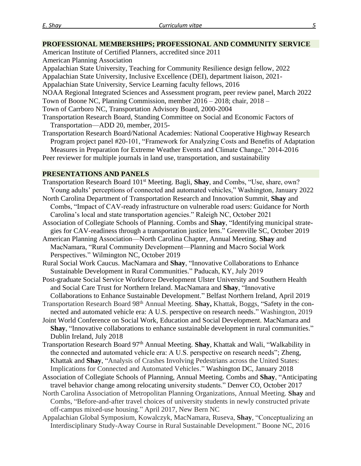#### **PROFESSIONAL MEMBERSHIPS; PROFESSIONAL AND COMMUNITY SERVICE**

- American Institute of Certified Planners, accredited since 2011
- American Planning Association
- Appalachian State University, Teaching for Community Resilience design fellow, 2022
- Appalachian State University, Inclusive Excellence (DEI), department liaison, 2021-
- Appalachian State University, Service Learning faculty fellows, 2016
- NOAA Regional Integrated Sciences and Assessment program, peer review panel, March 2022
- Town of Boone NC, Planning Commission, member 2016 2018; chair, 2018 –
- Town of Carrboro NC, Transportation Advisory Board, 2000-2004
- Transportation Research Board, Standing Committee on Social and Economic Factors of Transportation—ADD 20, member, 2015-
- Transportation Research Board/National Academies: National Cooperative Highway Research Program project panel #20-101, "Framework for Analyzing Costs and Benefits of Adaptation Measures in Preparation for Extreme Weather Events and Climate Change," 2014-2016

Peer reviewer for multiple journals in land use, transportation, and sustainability

## **PRESENTATIONS AND PANELS**

Transportation Research Board 101 st Meeting. Bagli, **Shay**, and Combs, "Use, share, own? Young adults' perceptions of connected and automated vehicles," Washington, January 2022 North Carolina Department of Transportation Research and Innovation Summit, **Shay** and Combs, "Impact of CAV-ready infrastructure on vulnerable road users: Guidance for North Carolina's local and state transportation agencies." Raleigh NC, October 2021 Association of Collegiate Schools of Planning. Combs and **Shay**, "Identifying municipal strategies for CAV-readiness through a transportation justice lens." Greenville SC, October 2019

American Planning Association—North Carolina Chapter, Annual Meeting. **Shay** and MacNamara, "Rural Community Development—Planning and Macro Social Work Perspectives." Wilmington NC, October 2019

Rural Social Work Caucus. MacNamara and **Shay**, "Innovative Collaborations to Enhance Sustainable Development in Rural Communities." Paducah, KY, July 2019

- Post-graduate Social Service Workforce Development Ulster University and Southern Health and Social Care Trust for Northern Ireland. MacNamara and **Shay**, "Innovative Collaborations to Enhance Sustainable Development." Belfast Northern Ireland, April 2019
- Transportation Research Board 98th Annual Meeting. **Shay,** Khattak, Boggs, "Safety in the connected and automated vehicle era: A U.S. perspective on research needs." Washington, 2019
- Joint World Conference on Social Work, Education and Social Development. MacNamara and **Shay**, "Innovative collaborations to enhance sustainable development in rural communities." Dublin Ireland, July 2018
- Transportation Research Board 97<sup>th</sup> Annual Meeting. Shay, Khattak and Wali, "Walkability in the connected and automated vehicle era: A U.S. perspective on research needs"; Zheng, Khattak and **Shay**, "Analysis of Crashes Involving Pedestrians across the United States: Implications for Connected and Automated Vehicles." Washington DC, January 2018
- Association of Collegiate Schools of Planning, Annual Meeting. Combs and **Shay**, "Anticipating travel behavior change among relocating university students." Denver CO, October 2017
- North Carolina Association of Metropolitan Planning Organizations, Annual Meeting. **Shay** and Combs, "Before-and-after travel choices of university students in newly constructed private off-campus mixed-use housing." April 2017, New Bern NC
- Appalachian Global Symposium, Kowalczyk, MacNamara, Ruseva, **Shay**, "Conceptualizing an Interdisciplinary Study-Away Course in Rural Sustainable Development." Boone NC, 2016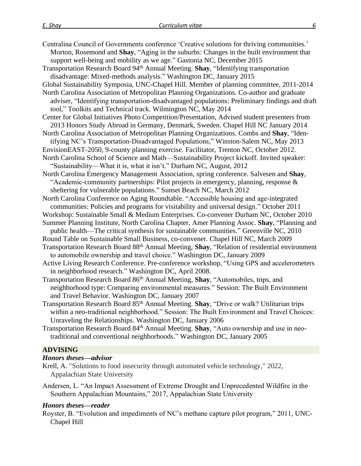| Centralina Council of Governments conference 'Creative solutions for thriving communities.'<br>Morton, Rosemond and Shay, "Aging in the suburbs: Changes in the built environment that<br>support well-being and mobility as we age." Gastonia NC, December 2015<br>Transportation Research Board 94 <sup>th</sup> Annual Meeting. <b>Shay</b> , "Identifying transportation<br>disadvantage: Mixed-methods analysis." Washington DC, January 2015<br>Global Sustainability Symposia, UNC-Chapel Hill. Member of planning committee, 2011-2014 |
|------------------------------------------------------------------------------------------------------------------------------------------------------------------------------------------------------------------------------------------------------------------------------------------------------------------------------------------------------------------------------------------------------------------------------------------------------------------------------------------------------------------------------------------------|
| North Carolina Association of Metropolitan Planning Organizations. Co-author and graduate<br>adviser, "Identifying transportation-disadvantaged populations: Preliminary findings and draft<br>tool," Toolkits and Technical track. Wilmington NC, May 2014                                                                                                                                                                                                                                                                                    |
| Center for Global Initiatives Photo Competition/Presentation, Advised student presenters from<br>2013 Honors Study Abroad in Germany, Denmark, Sweden. Chapel Hill NC January 2014                                                                                                                                                                                                                                                                                                                                                             |
| North Carolina Association of Metropolitan Planning Organizations. Combs and Shay, "Iden-<br>tifying NC's Transportation-Disadvantaged Populations," Winston-Salem NC, May 2013                                                                                                                                                                                                                                                                                                                                                                |
| EnvisionEAST-2050, 9-county planning exercise. Facilitator, Trenton NC, October 2012.<br>North Carolina School of Science and Math—Sustainability Project kickoff. Invited speaker:<br>"Sustainability—What it is, what it isn't." Durham NC, August, 2012                                                                                                                                                                                                                                                                                     |
| North Carolina Emergency Management Association, spring conference. Salvesen and Shay,<br>"Academic-community partnerships: Pilot projects in emergency, planning, response &<br>sheltering for vulnerable populations." Sunset Beach NC, March 2012                                                                                                                                                                                                                                                                                           |
| North Carolina Conference on Aging Roundtable. "Accessible housing and age-integrated<br>communities: Policies and programs for visitability and universal design." October 2011                                                                                                                                                                                                                                                                                                                                                               |
| Workshop: Sustainable Small & Medium Enterprises. Co-convener Durham NC, October 2010<br>Summer Planning Institute, North Carolina Chapter, Amer Planning Assoc. Shay, "Planning and<br>public health—The critical synthesis for sustainable communities." Greenville NC, 2010                                                                                                                                                                                                                                                                 |
| Round Table on Sustainable Small Business, co-convener. Chapel Hill NC, March 2009<br>Transportation Research Board 88 <sup>th</sup> Annual Meeting, Shay, "Relation of residential environment<br>to automobile ownership and travel choice." Washington DC, January 2009                                                                                                                                                                                                                                                                     |
| Active Living Research Conference. Pre-conference workshop, "Using GPS and accelerometers<br>in neighborhood research." Washington DC, April 2008.                                                                                                                                                                                                                                                                                                                                                                                             |
| Transportation Research Board 86 <sup>th</sup> Annual Meeting, Shay, "Automobiles, trips, and<br>neighborhood type: Comparing environmental measures." Session: The Built Environment<br>and Travel Behavior. Washington DC, January 2007                                                                                                                                                                                                                                                                                                      |
| Transportation Research Board 85 <sup>th</sup> Annual Meeting. Shay, "Drive or walk? Utilitarian trips<br>within a neo-traditional neighborhood." Session: The Built Environment and Travel Choices:<br>Unraveling the Relationships. Washington DC, January 2006                                                                                                                                                                                                                                                                              |
| Transportation Research Board 84 <sup>th</sup> Annual Meeting. Shay, "Auto ownership and use in neo-<br>traditional and conventional neighborhoods." Washington DC, January 2005                                                                                                                                                                                                                                                                                                                                                               |
| <b>ADVISING</b>                                                                                                                                                                                                                                                                                                                                                                                                                                                                                                                                |

## *Honors theses—advisor*

Krell, A. "Solutions to food insecurity through automated vehicle technology," 2022, Appalachian State University

Andersen, L. "An Impact Assessment of Extreme Drought and Unprecedented Wildfire in the Southern Appalachian Mountains," 2017, Appalachian State University

# *Honors theses—reader*

Royster, B. "Evolution and impediments of NC's methane capture pilot program," 2011, UNC-Chapel Hill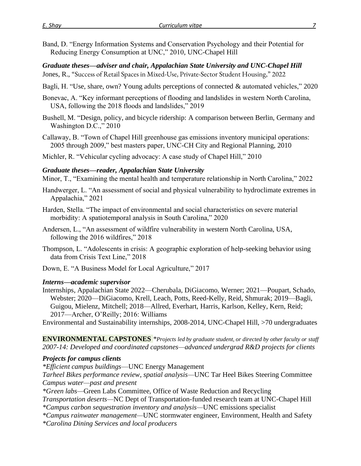Band, D. "Energy Information Systems and Conservation Psychology and their Potential for Reducing Energy Consumption at UNC," 2010, UNC-Chapel Hill

*Graduate theses—adviser and chair, Appalachian State University and UNC-Chapel Hill*

- Jones, R., "Success of Retail Spaces in Mixed-Use, Private-Sector Student Housing," 2022
- Bagli, H. "Use, share, own? Young adults perceptions of connected & automated vehicles," 2020
- Bonevac, A. "Key informant perceptions of flooding and landslides in western North Carolina, USA, following the 2018 floods and landslides," 2019
- Bushell, M. "Design, policy, and bicycle ridership: A comparison between Berlin, Germany and Washington D.C.," 2010
- Callaway, B. "Town of Chapel Hill greenhouse gas emissions inventory municipal operations: 2005 through 2009," best masters paper, UNC-CH City and Regional Planning, 2010
- Michler, R. "Vehicular cycling advocacy: A case study of Chapel Hill," 2010

## *Graduate theses—reader, Appalachian State University*

Minor, T., "Examining the mental health and temperature relationship in North Carolina," 2022

- Handwerger, L. "An assessment of social and physical vulnerability to hydroclimate extremes in Appalachia," 2021
- Harden, Stella. "The impact of environmental and social characteristics on severe material morbidity: A spatiotemporal analysis in South Carolina," 2020

Andersen, L., "An assessment of wildfire vulnerability in western North Carolina, USA, following the 2016 wildfires," 2018

Thompson, L. "Adolescents in crisis: A geographic exploration of help-seeking behavior using data from Crisis Text Line," 2018

Down, E. "A Business Model for Local Agriculture," 2017

#### *Interns—academic supervisor*

Internships, Appalachian State 2022—Cherubala, DiGiacomo, Werner; 2021—Poupart, Schado, Webster; 2020—DiGiacomo, Krell, Leach, Potts, Reed-Kelly, Reid, Shmurak; 2019—Bagli, Guigou, Mielenz, Mitchell; 2018—Allred, Everhart, Harris, Karlson, Kelley, Kern, Reid; 2017—Archer, O'Reilly; 2016: Williams

Environmental and Sustainability internships, 2008-2014, UNC-Chapel Hill, >70 undergraduates

**ENVIRONMENTAL CAPSTONES** *\*Projects led by graduate student, or directed by other faculty or staff 2007-14: Developed and coordinated capstones—advanced undergrad R&D projects for clients* 

## *Projects for campus clients*

*\*Efficient campus buildings*—UNC Energy Management

*Tarheel Bikes performance review, spatial analysis—*UNC Tar Heel Bikes Steering Committee *Campus water—past and present*

*\*Green labs—*Green Labs Committee, Office of Waste Reduction and Recycling

*Transportation deserts—*NC Dept of Transportation-funded research team at UNC-Chapel Hill *\*Campus carbon sequestration inventory and analysis—*UNC emissions specialist

*\*Campus rainwater management—*UNC stormwater engineer, Environment, Health and Safety *\*Carolina Dining Services and local producers*